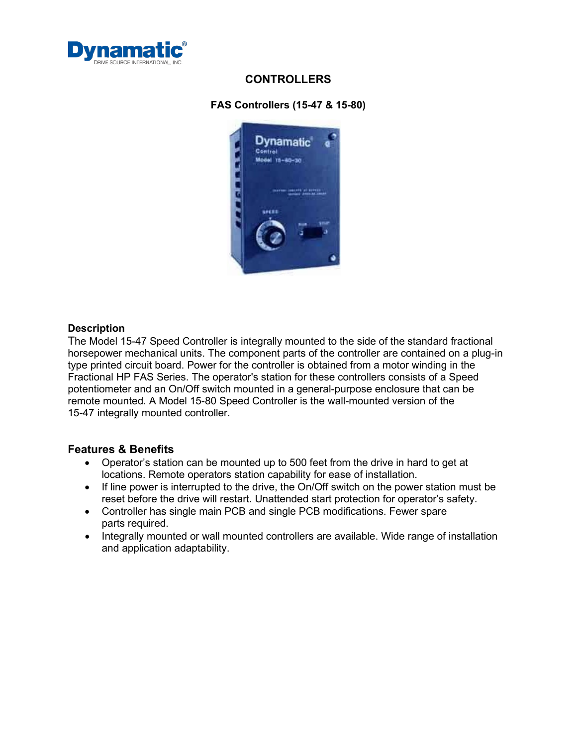

## **CONTROLLERS**

### **FAS Controllers (15-47 & 15-80)**



#### **Description**

The Model 15-47 Speed Controller is integrally mounted to the side of the standard fractional horsepower mechanical units. The component parts of the controller are contained on a plug-in type printed circuit board. Power for the controller is obtained from a motor winding in the Fractional HP FAS Series. The operator's station for these controllers consists of a Speed potentiometer and an On/Off switch mounted in a general-purpose enclosure that can be remote mounted. A Model 15-80 Speed Controller is the wall-mounted version of the 15-47 integrally mounted controller.

### **Features & Benefits**

- Operator's station can be mounted up to 500 feet from the drive in hard to get at locations. Remote operators station capability for ease of installation.
- If line power is interrupted to the drive, the On/Off switch on the power station must be reset before the drive will restart. Unattended start protection for operator's safety.
- Controller has single main PCB and single PCB modifications. Fewer spare parts required.
- Integrally mounted or wall mounted controllers are available. Wide range of installation and application adaptability.